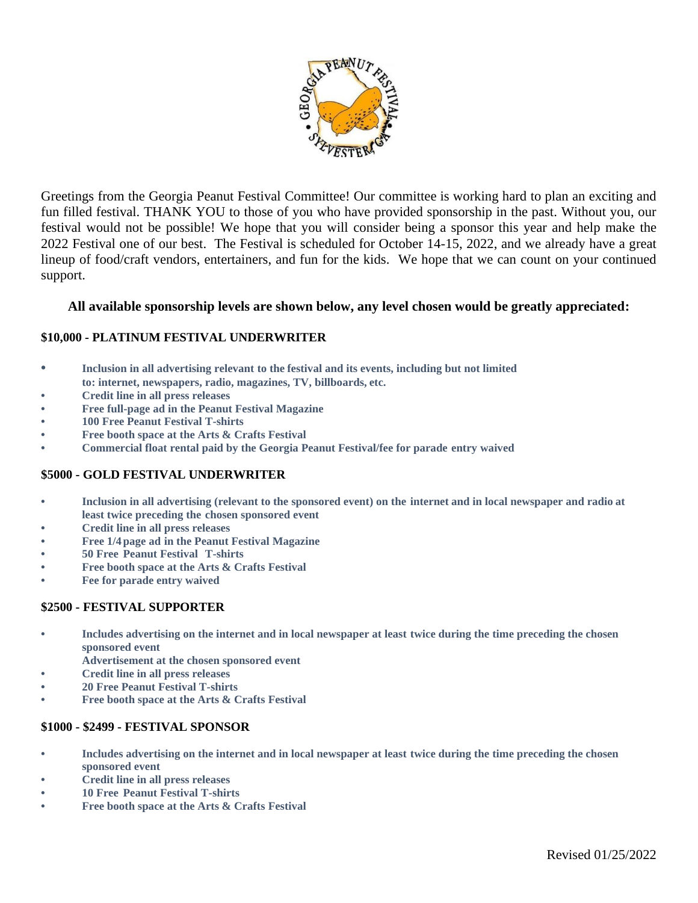

Greetings from the Georgia Peanut Festival Committee! Our committee is working hard to plan an exciting and fun filled festival. THANK YOU to those of you who have provided sponsorship in the past. Without you, our festival would not be possible! We hope that you will consider being a sponsor this year and help make the 2022 Festival one of our best. The Festival is scheduled for October 14-15, 2022, and we already have a great lineup of food/craft vendors, entertainers, and fun for the kids. We hope that we can count on your continued support.

# **All available sponsorship levels are shown below, any level chosen would be greatly appreciated:**

## **\$10,000 - PLATINUM FESTIVAL UNDERWRITER**

- **• Inclusion in all advertising relevant to the festival and its events, including but not limited to: internet, newspapers, radio, magazines, TV, billboards, etc.**
- **• Credit line in all press releases**
- **• Free full-page ad in the Peanut Festival Magazine**
- **• 100 Free Peanut Festival T-shirts**
- **• Free booth space at the Arts & Crafts Festival**
- **• Commercial float rental paid by the Georgia Peanut Festival/fee for parade entry waived**

## **\$5000 - GOLD FESTIVAL UNDERWRITER**

- **• Inclusion in all advertising (relevant to the sponsored event) on the internet and in local newspaper and radio at least twice preceding the chosen sponsored event**
- **• Credit line in all press releases**
- **• Free 1/4page ad in the Peanut Festival Magazine**
- **• 50 Free Peanut Festival T-shirts**
- **• Free booth space at the Arts & Crafts Festival**
- **• Fee for parade entry waived**

### **\$2500 - FESTIVAL SUPPORTER**

- **• Includes advertising on the internet and in local newspaper at least twice during the time preceding the chosen sponsored event**
- **Advertisement at the chosen sponsored event**
- **• Credit line in all press releases**
- **• 20 Free Peanut Festival T-shirts**
- **• Free booth space at the Arts & Crafts Festival**

### **\$1000 - \$2499 - FESTIVAL SPONSOR**

- **• Includes advertising on the internet and in local newspaper at least twice during the time preceding the chosen sponsored event**
- **• Credit line in all press releases**
- **• 10 Free Peanut Festival T-shirts**
- **• Free booth space at the Arts & Crafts Festival**